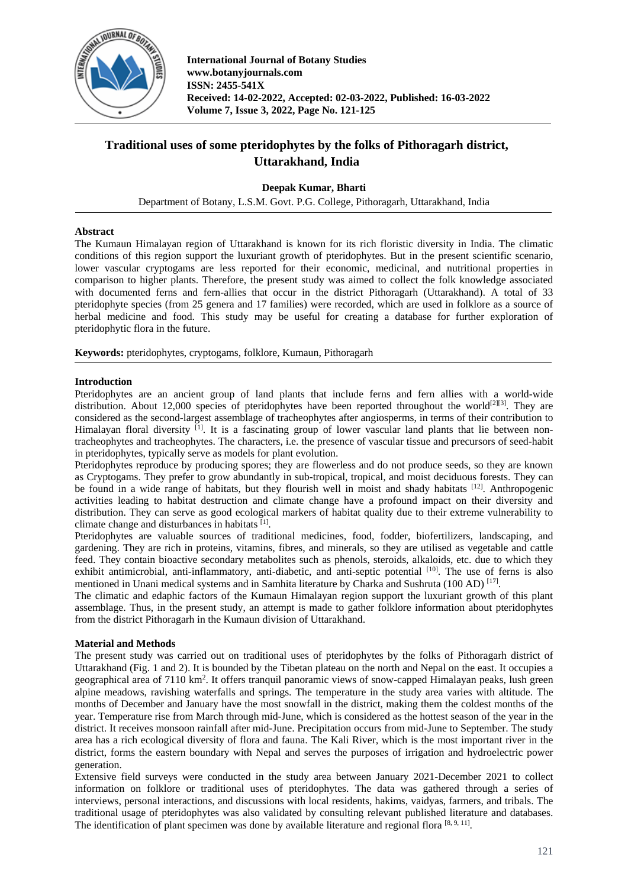

# **Traditional uses of some pteridophytes by the folks of Pithoragarh district, Uttarakhand, India**

**Deepak Kumar, Bharti**

Department of Botany, L.S.M. Govt. P.G. College, Pithoragarh, Uttarakhand, India

## **Abstract**

The Kumaun Himalayan region of Uttarakhand is known for its rich floristic diversity in India. The climatic conditions of this region support the luxuriant growth of pteridophytes. But in the present scientific scenario, lower vascular cryptogams are less reported for their economic, medicinal, and nutritional properties in comparison to higher plants. Therefore, the present study was aimed to collect the folk knowledge associated with documented ferns and fern-allies that occur in the district Pithoragarh (Uttarakhand). A total of 33 pteridophyte species (from 25 genera and 17 families) were recorded, which are used in folklore as a source of herbal medicine and food. This study may be useful for creating a database for further exploration of pteridophytic flora in the future.

**Keywords:** pteridophytes, cryptogams, folklore, Kumaun, Pithoragarh

## **Introduction**

Pteridophytes are an ancient group of land plants that include ferns and fern allies with a world-wide distribution. About 12,000 species of pteridophytes have been reported throughout the world<sup>[2][3]</sup>. They are considered as the second-largest assemblage of tracheophytes after angiosperms, in terms of their contribution to Himalayan floral diversity <sup>[1]</sup>. It is a fascinating group of lower vascular land plants that lie between nontracheophytes and tracheophytes. The characters, i.e. the presence of vascular tissue and precursors of seed-habit in pteridophytes, typically serve as models for plant evolution.

Pteridophytes reproduce by producing spores; they are flowerless and do not produce seeds, so they are known as Cryptogams. They prefer to grow abundantly in sub-tropical, tropical, and moist deciduous forests. They can be found in a wide range of habitats, but they flourish well in moist and shady habitats <sup>[12]</sup>. Anthropogenic activities leading to habitat destruction and climate change have a profound impact on their diversity and distribution. They can serve as good ecological markers of habitat quality due to their extreme vulnerability to climate change and disturbances in habitats [1].

Pteridophytes are valuable sources of traditional medicines, food, fodder, biofertilizers, landscaping, and gardening. They are rich in proteins, vitamins, fibres, and minerals, so they are utilised as vegetable and cattle feed. They contain bioactive secondary metabolites such as phenols, steroids, alkaloids, etc. due to which they exhibit antimicrobial, anti-inflammatory, anti-diabetic, and anti-septic potential [10]. The use of ferns is also mentioned in Unani medical systems and in Samhita literature by Charka and Sushruta (100 AD)<sup>[17]</sup>.

The climatic and edaphic factors of the Kumaun Himalayan region support the luxuriant growth of this plant assemblage. Thus, in the present study, an attempt is made to gather folklore information about pteridophytes from the district Pithoragarh in the Kumaun division of Uttarakhand.

## **Material and Methods**

The present study was carried out on traditional uses of pteridophytes by the folks of Pithoragarh district of Uttarakhand (Fig. 1 and 2). It is bounded by the Tibetan plateau on the north and Nepal on the east. It occupies a geographical area of 7110 km<sup>2</sup>. It offers tranquil panoramic views of snow-capped Himalayan peaks, lush green alpine meadows, ravishing waterfalls and springs. The temperature in the study area varies with altitude. The months of December and January have the most snowfall in the district, making them the coldest months of the year. Temperature rise from March through mid-June, which is considered as the hottest season of the year in the district. It receives monsoon rainfall after mid-June. Precipitation occurs from mid-June to September. The study area has a rich ecological diversity of flora and fauna. The Kali River, which is the most important river in the district, forms the eastern boundary with Nepal and serves the purposes of irrigation and hydroelectric power generation.

Extensive field surveys were conducted in the study area between January 2021-December 2021 to collect information on folklore or traditional uses of pteridophytes. The data was gathered through a series of interviews, personal interactions, and discussions with local residents, hakims, vaidyas, farmers, and tribals. The traditional usage of pteridophytes was also validated by consulting relevant published literature and databases. The identification of plant specimen was done by available literature and regional flora [8,9,11].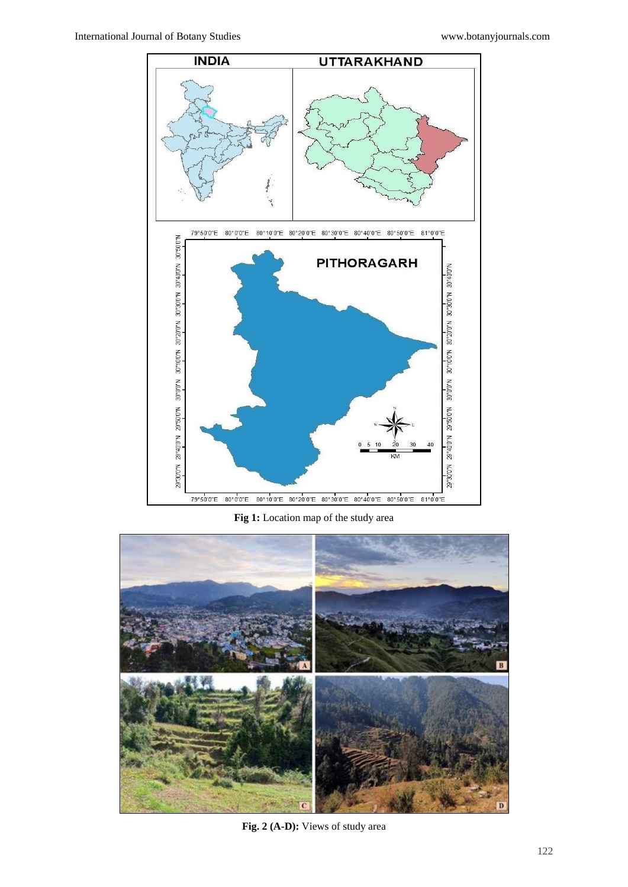

**Fig 1:** Location map of the study area



**Fig. 2 (A-D):** Views of study area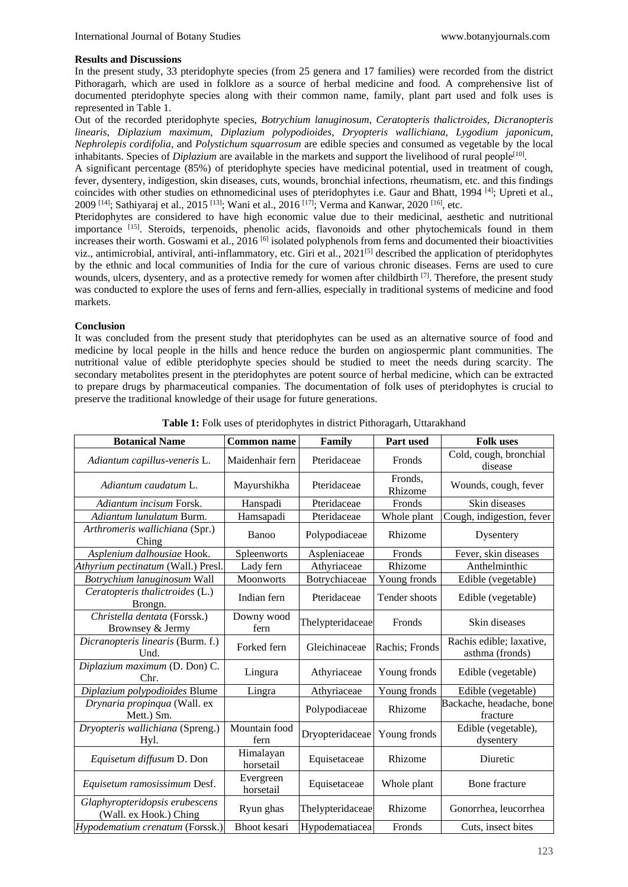#### **Results and Discussions**

In the present study, 33 pteridophyte species (from 25 genera and 17 families) were recorded from the district Pithoragarh, which are used in folklore as a source of herbal medicine and food. A comprehensive list of documented pteridophyte species along with their common name, family, plant part used and folk uses is represented in Table 1.

Out of the recorded pteridophyte species, *Botrychium lanuginosum*, *Ceratopteris thalictroides*, *Dicranopteris linearis*, *Diplazium maximum*, *Diplazium polypodioides*, *Dryopteris wallichiana*, *Lygodium japonicum, Nephrolepis cordifolia*, and *Polystichum squarrosum* are edible species and consumed as vegetable by the local inhabitants. Species of *Diplazium* are available in the markets and support the livelihood of rural people<sup>[10]</sup>.

A significant percentage (85%) of pteridophyte species have medicinal potential, used in treatment of cough, fever, dysentery, indigestion, skin diseases, cuts, wounds, bronchial infections, rheumatism, etc. and this findings coincides with other studies on ethnomedicinal uses of pteridophytes i.e. Gaur and Bhatt, 1994 [4]; Upreti et al., 2009 [14], Sathiyaraj et al., 2015 [13], Wani et al., 2016 [17], Verma and Kanwar, 2020 [16], etc.

Pteridophytes are considered to have high economic value due to their medicinal, aesthetic and nutritional importance [15]. Steroids, terpenoids, phenolic acids, flavonoids and other phytochemicals found in them increases their worth. Goswami et al., 2016 [6] isolated polyphenols from ferns and documented their bioactivities viz., antimicrobial, antiviral, anti-inflammatory, etc. Giri et al., 2021[5] described the application of pteridophytes by the ethnic and local communities of India for the cure of various chronic diseases. Ferns are used to cure wounds, ulcers, dysentery, and as a protective remedy for women after childbirth  $^{[7]}$ . Therefore, the present study was conducted to explore the uses of ferns and fern-allies, especially in traditional systems of medicine and food markets.

## **Conclusion**

It was concluded from the present study that pteridophytes can be used as an alternative source of food and medicine by local people in the hills and hence reduce the burden on angiospermic plant communities. The nutritional value of edible pteridophyte species should be studied to meet the needs during scarcity. The secondary metabolites present in the pteridophytes are potent source of herbal medicine, which can be extracted to prepare drugs by pharmaceutical companies. The documentation of folk uses of pteridophytes is crucial to preserve the traditional knowledge of their usage for future generations.

| <b>Botanical Name</b>                                    | <b>Common name</b>     | Family           | Part used          | <b>Folk uses</b>                            |
|----------------------------------------------------------|------------------------|------------------|--------------------|---------------------------------------------|
| Adiantum capillus-veneris L.                             | Maidenhair fern        | Pteridaceae      | Fronds             | Cold, cough, bronchial<br>disease           |
| Adiantum caudatum L.                                     | Mayurshikha            | Pteridaceae      | Fronds,<br>Rhizome | Wounds, cough, fever                        |
| Adiantum incisum Forsk.                                  | Hanspadi               | Pteridaceae      | Fronds             | Skin diseases                               |
| Adiantum lunulatum Burm.                                 | Hamsapadi              | Pteridaceae      | Whole plant        | Cough, indigestion, fever                   |
| Arthromeris wallichiana (Spr.)<br>Ching                  | Banoo                  | Polypodiaceae    | Rhizome            | Dysentery                                   |
| Asplenium dalhousiae Hook.                               | Spleenworts            | Aspleniaceae     | Fronds             | Fever, skin diseases                        |
| Athyrium pectinatum (Wall.) Presl.                       | Lady fern              | Athyriaceae      | Rhizome            | Anthelminthic                               |
| Botrychium lanuginosum Wall                              | <b>Moonworts</b>       | Botrychiaceae    | Young fronds       | Edible (vegetable)                          |
| Ceratopteris thalictroides (L.)<br>Brongn.               | Indian fern            | Pteridaceae      | Tender shoots      | Edible (vegetable)                          |
| Christella dentata (Forssk.)<br>Brownsey & Jermy         | Downy wood<br>fern     | Thelypteridaceae | Fronds             | Skin diseases                               |
| Dicranopteris linearis (Burm. f.)<br>Und.                | Forked fern            | Gleichinaceae    | Rachis; Fronds     | Rachis edible; laxative,<br>asthma (fronds) |
| Diplazium maximum (D. Don) C.<br>Chr.                    | Lingura                | Athyriaceae      | Young fronds       | Edible (vegetable)                          |
| Diplazium polypodioides Blume                            | Lingra                 | Athyriaceae      | Young fronds       | Edible (vegetable)                          |
| Drynaria propinqua (Wall. ex<br>Mett.) Sm.               |                        | Polypodiaceae    | Rhizome            | Backache, headache, bone<br>fracture        |
| Dryopteris wallichiana (Spreng.)<br>Hyl.                 | Mountain food<br>fern  | Dryopteridaceae  | Young fronds       | Edible (vegetable),<br>dysentery            |
| Equisetum diffusum D. Don                                | Himalayan<br>horsetail | Equisetaceae     | Rhizome            | Diuretic                                    |
| Equisetum ramosissimum Desf.                             | Evergreen<br>horsetail | Equisetaceae     | Whole plant        | Bone fracture                               |
| Glaphyropteridopsis erubescens<br>(Wall. ex Hook.) Ching | Ryun ghas              | Thelypteridaceae | Rhizome            | Gonorrhea, leucorrhea                       |
| Hypodematium crenatum (Forssk.)                          | Bhoot kesari           | Hypodematiacea   | Fronds             | Cuts, insect bites                          |

**Table 1:** Folk uses of pteridophytes in district Pithoragarh, Uttarakhand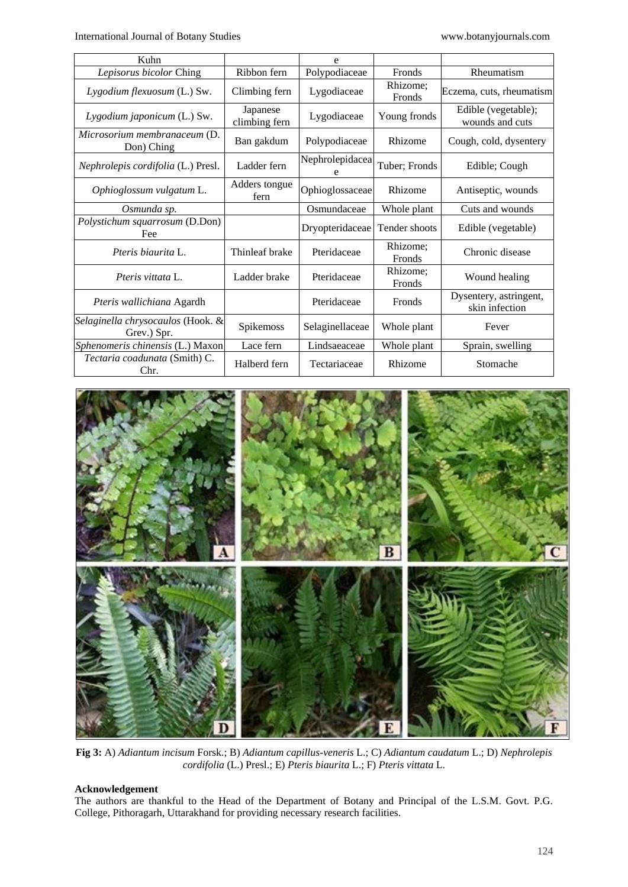International Journal of Botany Studies [www.botanyjournals.com](http://www.botanyjournals.com/)

| Kuhn                                             |                           | e               |                           |                                          |
|--------------------------------------------------|---------------------------|-----------------|---------------------------|------------------------------------------|
| Lepisorus bicolor Ching                          | Ribbon fern               | Polypodiaceae   | Fronds                    | Rheumatism                               |
| Lygodium flexuosum (L.) Sw.                      | Climbing fern             | Lygodiaceae     | Rhizome;<br><b>Fronds</b> | Eczema, cuts, rheumatism                 |
| Lygodium japonicum (L.) Sw.                      | Japanese<br>climbing fern | Lygodiaceae     | Young fronds              | Edible (vegetable);<br>wounds and cuts   |
| Microsorium membranaceum (D.<br>Don) Ching       | Ban gakdum                | Polypodiaceae   | Rhizome                   | Cough, cold, dysentery                   |
| Nephrolepis cordifolia (L.) Presl.               | Ladder fern               | Nephrolepidacea | Tuber; Fronds             | Edible; Cough                            |
| Ophioglossum vulgatum L.                         | Adders tongue<br>fern     | Ophioglossaceae | Rhizome                   | Antiseptic, wounds                       |
| Osmunda sp.                                      |                           | Osmundaceae     | Whole plant               | Cuts and wounds                          |
| Polystichum squarrosum (D.Don)<br>Fee            |                           | Dryopteridaceae | Tender shoots             | Edible (vegetable)                       |
| Pteris biaurita L.                               | Thinleaf brake            | Pteridaceae     | Rhizome;<br><b>Fronds</b> | Chronic disease                          |
| <i>Pteris vittata</i> L.                         | Ladder brake              | Pteridaceae     | Rhizome;<br><b>Fronds</b> | Wound healing                            |
| Pteris wallichiana Agardh                        |                           | Pteridaceae     | <b>Fronds</b>             | Dysentery, astringent,<br>skin infection |
| Selaginella chrysocaulos (Hook. &<br>Grev.) Spr. | Spikemoss                 | Selaginellaceae | Whole plant               | Fever                                    |
| Sphenomeris chinensis (L.) Maxon                 | Lace fern                 | Lindsaeaceae    | Whole plant               | Sprain, swelling                         |
| Tectaria coadunata (Smith) C.<br>Chr.            | Halberd fern              | Tectariaceae    | Rhizome                   | Stomache                                 |



**Fig 3:** A) *Adiantum incisum* Forsk.; B) *Adiantum capillus-veneris* L.; C) *Adiantum caudatum* L.; D) *Nephrolepis cordifolia* (L.) Presl.; E) *Pteris biaurita* L.; F) *Pteris vittata* L.

## **Acknowledgement**

The authors are thankful to the Head of the Department of Botany and Principal of the L.S.M. Govt. P.G. College, Pithoragarh, Uttarakhand for providing necessary research facilities.